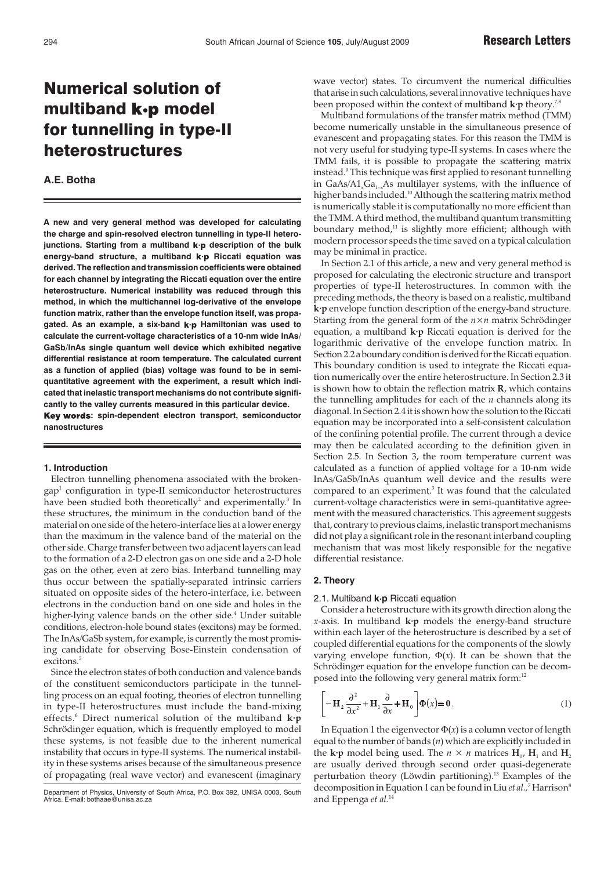# Numerical solution of multiband k-p model for tunnelling in type-II heterostructures

# **A.E. Botha**

**A new and very general method was developed for calculating the charge and spin-resolved electron tunnelling in type-II heterojunctions. Starting from a multiband k p description of the bulk energy-band structure, a multiband Riccati equation was derived. The reflection and transmission coefficients were obtained for each channel by integrating the Riccati equation over the entire heterostructure. Numerical instability was reduced through this method, in which the multichannel log-derivative of the envelope function matrix, rather than the envelope function itself, was propagated. As an example, a six-band Hamiltonian was used to calculate the current-voltage characteristics of a 10-nm wide InAs/ GaSb/InAs single quantum well device which exhibited negative differential resistance at room temperature. The calculated current as a function of applied (bias) voltage was found to be in semiquantitative agreement with the experiment, a result which indicated that inelastic transport mechanisms do not contribute significantly to the valley currents measured in this particular device.** Key words: spin-dependent electron transport, semiconductor **nanostructures**

## **1. Introduction**

Electron tunnelling phenomena associated with the brokengap1 configuration in type-II semiconductor heterostructures have been studied both theoretically<sup>2</sup> and experimentally.<sup>3</sup> In these structures, the minimum in the conduction band of the material on one side of the hetero-interface lies at a lower energy than the maximum in the valence band of the material on the other side. Charge transfer between two adjacent layers can lead to the formation of a 2-D electron gas on one side and a 2-D hole gas on the other, even at zero bias. Interband tunnelling may thus occur between the spatially-separated intrinsic carriers situated on opposite sides of the hetero-interface, i.e. between electrons in the conduction band on one side and holes in the higher-lying valence bands on the other side.<sup>4</sup> Under suitable conditions, electron-hole bound states (excitons) may be formed. The InAs/GaSb system, for example, is currently the most promising candidate for observing Bose-Einstein condensation of excitons.<sup>5</sup>

Since the electron states of both conduction and valence bands of the constituent semiconductors participate in the tunnelling process on an equal footing, theories of electron tunnelling in type-II heterostructures must include the band-mixing effects.6 Direct numerical solution of the multiband **k·p** Schrödinger equation, which is frequently employed to model these systems, is not feasible due to the inherent numerical instability that occurs in type-II systems. The numerical instability in these systems arises because of the simultaneous presence of propagating (real wave vector) and evanescent (imaginary

Department of Physics, University of South Africa, P.O. Box 392, UNISA 0003, South Africa. E-mail: bothaae@unisa.ac

wave vector) states. To circumvent the numerical difficulties that arise in such calculations, several innovative techniques have been proposed within the context of multiband **k·p** theory.7,8

Multiband formulations of the transfer matrix method (TMM) become numerically unstable in the simultaneous presence of evanescent and propagating states. For this reason the TMM is not very useful for studying type-II systems. In cases where the TMM fails, it is possible to propagate the scattering matrix instead.<sup>9</sup> This technique was first applied to resonant tunnelling in GaAs/A1<sub>x</sub>Ga<sub>1-x</sub>As multilayer systems, with the influence of higher bands included.<sup>10</sup> Although the scattering matrix method is numerically stable it is computationally no more efficient than the TMM. A third method, the multiband quantum transmitting boundary method, $11$  is slightly more efficient; although with modern processor speeds the time saved on a typical calculation may be minimal in practice.

In Section 2.1 of this article, a new and very general method is proposed for calculating the electronic structure and transport properties of type-II heterostructures. In common with the preceding methods, the theory is based on a realistic, multiband **k·p** envelope function description of the energy-band structure. Starting from the general form of the *n*×*n* matrix Schrödinger equation, a multiband **k·p** Riccati equation is derived for the logarithmic derivative of the envelope function matrix. In Section 2.2 a boundary condition is derived for the Riccati equation. This boundary condition is used to integrate the Riccati equation numerically over the entire heterostructure. In Section 2.3 it is shown how to obtain the reflection matrix **R**, which contains the tunnelling amplitudes for each of the *n* channels along its diagonal. In Section 2.4 it is shown how the solution to the Riccati equation may be incorporated into a self-consistent calculation of the confining potential profile. The current through a device may then be calculated according to the definition given in Section 2.5. In Section 3, the room temperature current was calculated as a function of applied voltage for a 10-nm wide InAs/GaSb/InAs quantum well device and the results were compared to an experiment.<sup>3</sup> It was found that the calculated current-voltage characteristics were in semi-quantitative agreement with the measured characteristics. This agreement suggests that, contrary to previous claims, inelastic transport mechanisms did not play a significant role in the resonant interband coupling mechanism that was most likely responsible for the negative differential resistance.

# **2. Theory**

#### 2.1. Multiband **k·p** Riccati equation

Consider a heterostructure with its growth direction along the *x*-axis. In multiband **k·p** models the energy-band structure within each layer of the heterostructure is described by a set of coupled differential equations for the components of the slowly varying envelope function,  $\Phi(x)$ . It can be shown that the Schrödinger equation for the envelope function can be decomposed into the following very general matrix form:<sup>12</sup>

$$
\left[ -\mathbf{H}_2 \frac{\partial^2}{\partial x^2} + \mathbf{H}_1 \frac{\partial}{\partial x} + \mathbf{H}_0 \right] \Phi(x) = \mathbf{0}.
$$
 (1)

In Equation 1 the eigenvector  $\Phi(x)$  is a column vector of length equal to the number of bands (*n*) which are explicitly included in the **k**·p model being used. The  $n \times n$  matrices  $H_0$ ,  $H_1$  and  $H_2$ are usually derived through second order quasi-degenerate perturbation theory (Löwdin partitioning).13 Examples of the decomposition in Equation 1 can be found in Liu *et al.*,<sup>7</sup> Harrison<sup>8</sup> and Eppenga *et al.*<sup>14</sup>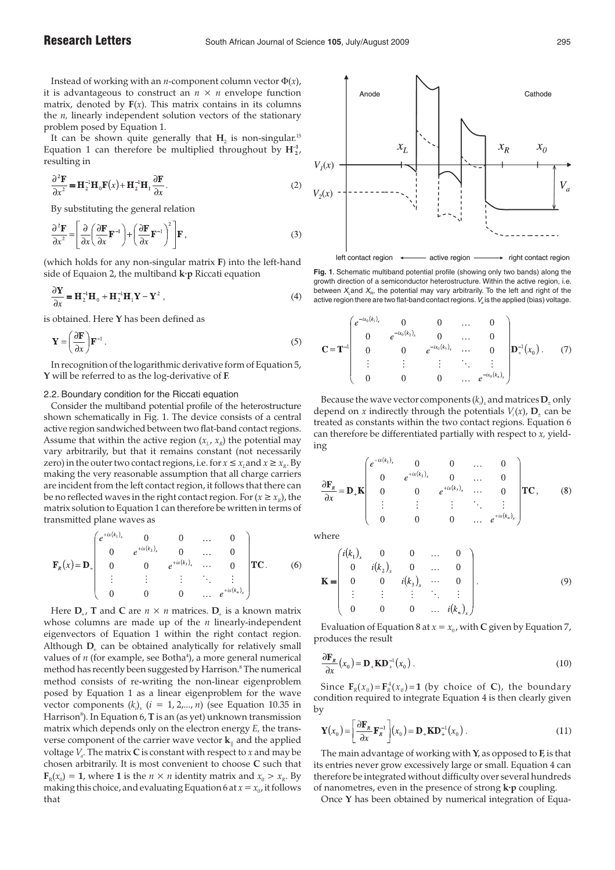Instead of working with an *n*-component column vector  $\Phi(x)$ , it is advantageous to construct an  $n \times n$  envelope function matrix, denoted by  $F(x)$ . This matrix contains in its columns the *n,* linearly independent solution vectors of the stationary problem posed by Equation 1.

It can be shown quite generally that  $H_2$  is non-singular.<sup>15</sup> Equation 1 can therefore be multiplied throughout by  $\mathbf{H}_{2}^{-1}$ , resulting in

$$
\frac{\partial^2 \mathbf{F}}{\partial x^2} = \mathbf{H}_2^{-1} \mathbf{H}_0 \mathbf{F}(x) + \mathbf{H}_2^{-1} \mathbf{H}_1 \frac{\partial \mathbf{F}}{\partial x}.
$$
 (2)

By substituting the general relation

$$
\frac{\partial^2 \mathbf{F}}{\partial x^2} = \left[ \frac{\partial}{\partial x} \left( \frac{\partial \mathbf{F}}{\partial x} \mathbf{F}^{-1} \right) + \left( \frac{\partial \mathbf{F}}{\partial x} \mathbf{F}^{-1} \right)^2 \right] \mathbf{F},\tag{3}
$$

(which holds for any non-singular matrix **F**) into the left-hand side of Equaion 2, the multiband **k·p** Riccati equation

$$
\frac{\partial \mathbf{Y}}{\partial x} = \mathbf{H}_2^{-1} \mathbf{H}_0 + \mathbf{H}_2^{-1} \mathbf{H}_1 \mathbf{Y} - \mathbf{Y}^2 , \qquad (4)
$$

is obtained. Here **Y** has been defined as

$$
\mathbf{Y} = \left(\frac{\partial \mathbf{F}}{\partial x}\right) \mathbf{F}^{-1} \,. \tag{5}
$$

In recognition of the logarithmic derivative form of Equation 5, **Y** will be referred to as the log-derivative of **F**.

#### 2.2. Boundary condition for the Riccati equation

Consider the multiband potential profile of the heterostructure shown schematically in Fig. 1. The device consists of a central active region sandwiched between two flat-band contact regions. Assume that within the active region  $(x_L, x_R)$  the potential may vary arbitrarily, but that it remains constant (not necessarily zero) in the outer two contact regions, i.e. for  $x \le x_i$  and  $x \ge x_k$ . By making the very reasonable assumption that all charge carriers are incident from the left contact region, it follows that there can be no reflected waves in the right contact region. For  $(x \ge x_R)$ , the matrix solution to Equation 1 can therefore be written in terms of transmitted plane waves as

$$
\mathbf{F}_{R}(x) = \mathbf{D}_{+} \begin{pmatrix} e^{+ix(k_{1})_{x}} & 0 & 0 & \dots & 0 \\ 0 & e^{+ix(k_{2})_{x}} & 0 & \dots & 0 \\ 0 & 0 & e^{+ix(k_{3})_{x}} & \dots & 0 \\ \vdots & \vdots & \vdots & \ddots & \vdots \\ 0 & 0 & 0 & \dots & e^{+ix(k_{n})_{x}} \end{pmatrix} \mathbf{TC}.
$$
 (6)

Here  $D_{\perp}$ , **T** and **C** are  $n \times n$  matrices.  $D_{\perp}$  is a known matrix whose columns are made up of the *n* linearly-independent eigenvectors of Equation 1 within the right contact region. Although  $D_{+}$  can be obtained analytically for relatively small values of *n* (for example, see Botha<sup>4</sup>), a more general numerical method has recently been suggested by Harrison.<sup>8</sup> The numerical method consists of re-writing the non-linear eigenproblem posed by Equation 1 as a linear eigenproblem for the wave vector components  $(k_i)_x$   $(i = 1, 2,..., n)$  (see Equation 10.35 in Harrison $^{\rm 8}$ ). In Equation 6, **T** is an (as yet) unknown transmission matrix which depends only on the electron energy *E,* the transverse component of the carrier wave vector  $\mathbf{k}_{\parallel}$  and the applied voltage *Va* . The matrix **C** is constant with respect to *x* and may be chosen arbitrarily. It is most convenient to choose **C** such that  $\mathbf{F}_p(x_0) = \mathbf{1}$ , where **1** is the  $n \times n$  identity matrix and  $x_0 > x_p$ . By making this choice, and evaluating Equation 6 at  $x = x_0$ , it follows that



**Fig. 1**. Schematic multiband potential profile (showing only two bands) along the growth direction of a semiconductor heterostructure. Within the active region, i.e. between  $X_{\text{L}}$  and  $X_{\text{R}}$ , the potential may vary arbitrarily. To the left and right of the active region there are two flat-band contact regions.  $V_a$  is the applied (bias) voltage.

$$
\mathbf{C} = \mathbf{T}^{-1} \begin{pmatrix} e^{-ix_0(k_1)_x} & 0 & 0 & \dots & 0 \\ 0 & e^{-ix_0(k_2)_x} & 0 & \dots & 0 \\ 0 & 0 & e^{-ix_0(k_3)_x} & \dots & 0 \\ \vdots & \vdots & \vdots & \ddots & \vdots \\ 0 & 0 & 0 & \dots & e^{-ix_0(k_n)_x} \end{pmatrix} \mathbf{D}_+^{-1}(x_0). \tag{7}
$$

Because the wave vector components  $(k_i_{\!\scriptscriptstyle\chi\!i}$  and matrices  ${\bf D}_\pm$  only depend on *x* indirectly through the potentials  $V_i(x)$ ,  $D_+$  can be treated as constants within the two contact regions. Equation 6 can therefore be differentiated partially with respect to *x,* yielding

$$
\frac{\partial \mathbf{F}_R}{\partial x} = \mathbf{D}_+ \mathbf{K} \begin{pmatrix} e^{+ix(k_1)_x} & 0 & 0 & \dots & 0 \\ 0 & e^{+ix(k_2)_x} & 0 & \dots & 0 \\ 0 & 0 & e^{+ix(k_3)_x} & \dots & 0 \\ \vdots & \vdots & \vdots & \ddots & \vdots \\ 0 & 0 & 0 & \dots & e^{+ix(k_n)_x} \end{pmatrix} \mathbf{T} \mathbf{C}, \quad (8)
$$

where

$$
\mathbf{K} = \begin{pmatrix} i(k_1)_x & 0 & 0 & \dots & 0 \\ 0 & i(k_2)_x & 0 & \dots & 0 \\ 0 & 0 & i(k_3)_x & \dots & 0 \\ \vdots & \vdots & \vdots & \ddots & \vdots \\ 0 & 0 & 0 & \dots & i(k_n)_x \end{pmatrix} .
$$
 (9)

Evaluation of Equation 8 at  $x = x_0$ , with C given by Equation 7, produces the result

$$
\frac{\partial \mathbf{F}_R}{\partial x}(x_0) = \mathbf{D}_+ \mathbf{K} \mathbf{D}_+^{-1}(x_0).
$$
 (10)

Since  $\mathbf{F}_R(x_0) = \mathbf{F}_R^1(x_0) = \mathbf{1}$  (by choice of **C**), the boundary condition required to integrate Equation 4 is then clearly given by

$$
\mathbf{Y}(x_0) = \left[\frac{\partial \mathbf{F}_R}{\partial x} \mathbf{F}_R^{-1}\right](x_0) = \mathbf{D}_+ \mathbf{K} \mathbf{D}_+^{-1}(x_0).
$$
\n(11)

The main advantage of working with **Y**, as opposed to **F**, is that its entries never grow excessively large or small. Equation 4 can therefore be integrated without difficulty over several hundreds of nanometres, even in the presence of strong **k·p** coupling.

Once **Y** has been obtained by numerical integration of Equa-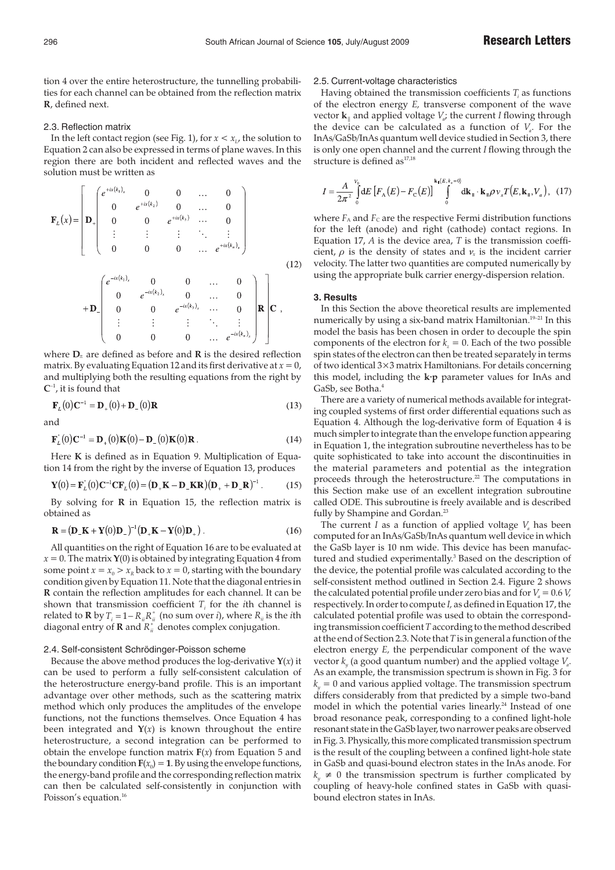tion 4 over the entire heterostructure, the tunnelling probabilities for each channel can be obtained from the reflection matrix **R**, defined next.

#### 2.3. Reflection matrix

In the left contact region (see Fig. 1), for  $x < x_1$ , the solution to Equation 2 can also be expressed in terms of plane waves. In this region there are both incident and reflected waves and the solution must be written as

$$
\mathbf{F}_{L}(x) = \begin{bmatrix}\n e^{+ix(k_{1})_{x}} & 0 & 0 & \dots & 0 \\
0 & e^{+ix(k_{2})} & 0 & \dots & 0 \\
0 & 0 & e^{+ix(k_{3})} & \dots & 0 \\
\vdots & \vdots & \vdots & \ddots & \vdots \\
0 & 0 & 0 & \dots & e^{+ix(k_{n})_{x}}\n\end{bmatrix}
$$
\n
$$
+ \mathbf{D} \begin{bmatrix}\ne^{-ix(k_{1})_{x}} & 0 & 0 & \dots & 0 \\
0 & e^{-ix(k_{2})_{x}} & 0 & \dots & 0 \\
0 & 0 & e^{-ix(k_{3})_{x}} & \dots & 0 \\
\vdots & \vdots & \vdots & \ddots & \vdots \\
0 & 0 & 0 & \dots & e^{-ix(k_{n})_{x}}\n\end{bmatrix} \mathbf{R} \mathbf{C},
$$
\n(12)

where  $D_{+}$  are defined as before and  $R$  is the desired reflection matrix. By evaluating Equation 12 and its first derivative at  $x = 0$ , and multiplying both the resulting equations from the right by  $C^{-1}$ , it is found that

$$
\mathbf{F}_{L}(0)\mathbf{C}^{-1} = \mathbf{D}_{+}(0) + \mathbf{D}_{-}(0)\mathbf{R}
$$
\n(13)

and

$$
\mathbf{F}_{L}'(0)\mathbf{C}^{-1} = \mathbf{D}_{+}(0)\mathbf{K}(0) - \mathbf{D}_{-}(0)\mathbf{K}(0)\mathbf{R}.
$$
 (14)

Here **K** is defined as in Equation 9. Multiplication of Equation 14 from the right by the inverse of Equation 13, produces

$$
\mathbf{Y}(0) = \mathbf{F}_L(0)\mathbf{C}^{-1}\mathbf{C}\mathbf{F}_L(0) = (\mathbf{D}_+ \mathbf{K} - \mathbf{D}_-\mathbf{K}\mathbf{R})(\mathbf{D}_+ + \mathbf{D}_-\mathbf{R})^{-1}.
$$
 (15)

By solving for **R** in Equation 15, the reflection matrix is obtained as

$$
\mathbf{R} = (\mathbf{D}_{\perp}\mathbf{K} + \mathbf{Y}(0)\mathbf{D}_{\perp})^{-1}(\mathbf{D}_{\perp}\mathbf{K} - \mathbf{Y}(0)\mathbf{D}_{\perp}).
$$
 (16)

All quantities on the right of Equation 16 are to be evaluated at  $x = 0$ . The matrix **Y**(0) is obtained by integrating Equation 4 from some point  $x = x_0 > x_R$  back to  $x = 0$ , starting with the boundary condition given by Equation 11. Note that the diagonal entries in **R** contain the reflection amplitudes for each channel. It can be shown that transmission coefficient  $T_i$  for the *i*th channel is related to **R** by  $T_i = 1 - R_{ii}R_{ii}^*$  (no sum over *i*), where  $R_{ii}$  is the *i*th diagonal entry of  **and**  $R_{ii}^*$  **denotes complex conjugation.** 

#### 2.4. Self-consistent Schrödinger-Poisson scheme

Because the above method produces the log-derivative  $Y(x)$  it can be used to perform a fully self-consistent calculation of the heterostructure energy-band profile. This is an important advantage over other methods, such as the scattering matrix method which only produces the amplitudes of the envelope functions, not the functions themselves. Once Equation 4 has been integrated and  $Y(x)$  is known throughout the entire heterostructure, a second integration can be performed to obtain the envelope function matrix  $F(x)$  from Equation 5 and the boundary condition  $\mathbf{F}(x_0) = 1$ . By using the envelope functions, the energy-band profile and the corresponding reflection matrix can then be calculated self-consistently in conjunction with Poisson's equation.<sup>16</sup>

#### 2.5. Current-voltage characteristics

Having obtained the transmission coefficients  $T_i$  as functions of the electron energy *E,* transverse component of the wave vector **k**|| and applied voltage *Va* ; the current *I* flowing through the device can be calculated as a function of  $V_a$ . For the InAs/GaSb/InAs quantum well device studied in Section 3, there is only one open channel and the current *I* flowing through the structure is defined as<sup>17,18</sup>

$$
I = \frac{A}{2\pi^2} \int_{0}^{V_0} dE \left[ F_A(E) - F_C(E) \right]_{0}^{k_{\rm H}(E, k_x = 0)} d\mathbf{k}_{\rm H} \cdot \mathbf{k}_{\rm H} \rho v_x T(E, \mathbf{k}_{\rm H}, V_a), \quad (17)
$$

where  $F_A$  and  $F_C$  are the respective Fermi distribution functions for the left (anode) and right (cathode) contact regions. In Equation 17, *A* is the device area, *T* is the transmission coefficient,  $\rho$  is the density of states and  $\nu_x$  is the incident carrier velocity. The latter two quantities are computed numerically by using the appropriate bulk carrier energy-dispersion relation.

#### **3. Results**

In this Section the above theoretical results are implemented numerically by using a six-band matrix Hamiltonian.<sup>19-21</sup> In this model the basis has been chosen in order to decouple the spin components of the electron for  $k<sub>z</sub> = 0$ . Each of the two possible spin states of the electron can then be treated separately in terms of two identical 3×3 matrix Hamiltonians. For details concerning this model, including the **k·p** parameter values for InAs and GaSb, see Botha.<sup>4</sup>

There are a variety of numerical methods available for integrating coupled systems of first order differential equations such as Equation 4. Although the log-derivative form of Equation 4 is much simpler to integrate than the envelope function appearing in Equation 1, the integration subroutine nevertheless has to be quite sophisticated to take into account the discontinuities in the material parameters and potential as the integration proceeds through the heterostructure.<sup>22</sup> The computations in this Section make use of an excellent integration subroutine called ODE. This subroutine is freely available and is described fully by Shampine and Gordan.<sup>23</sup>

The current *I* as a function of applied voltage  $V_a$  has been computed for an InAs/GaSb/InAs quantum well device in which the GaSb layer is 10 nm wide. This device has been manufactured and studied experimentally.<sup>3</sup> Based on the description of the device, the potential profile was calculated according to the self-consistent method outlined in Section 2.4. Figure 2 shows the calculated potential profile under zero bias and for  $V_a = 0.6 V_a$ , respectively. In order to compute *I,* as defined in Equation 17, the calculated potential profile was used to obtain the corresponding transmission coefficient*T*according to the method described at the end of Section 2.3. Note that *T* is in general a function of the electron energy *E,* the perpendicular component of the wave vector  $k_{\mathbf{y}}$  (a good quantum number) and the applied voltage  $V_{\mathbf{a}}$ . As an example, the transmission spectrum is shown in Fig. 3 for  $k_y = 0$  and various applied voltage. The transmission spectrum differs considerably from that predicted by a simple two-band model in which the potential varies linearly.<sup>24</sup> Instead of one broad resonance peak, corresponding to a confined light-hole resonant state in the GaSb layer, two narrower peaks are observed in Fig. 3. Physically, this more complicated transmission spectrum is the result of the coupling between a confined light-hole state in GaSb and quasi-bound electron states in the InAs anode. For  $k_{y} \neq 0$  the transmission spectrum is further complicated by coupling of heavy-hole confined states in GaSb with quasibound electron states in InAs.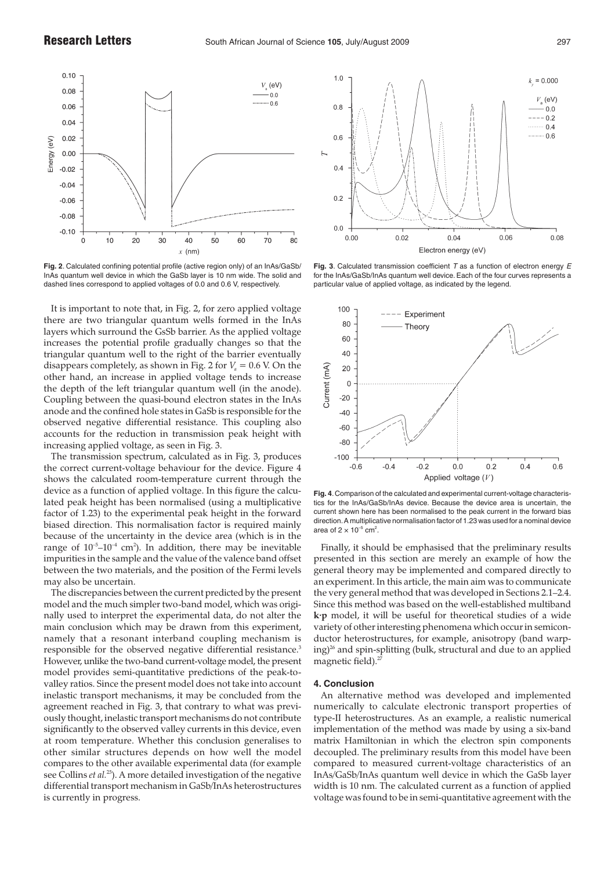

**Fig. 2**. Calculated confining potential profile (active region only) of an InAs/GaSb/ InAs quantum well device in which the GaSb layer is 10 nm wide. The solid and dashed lines correspond to applied voltages of 0.0 and 0.6 V, respectively.

It is important to note that, in Fig. 2, for zero applied voltage there are two triangular quantum wells formed in the InAs layers which surround the GsSb barrier. As the applied voltage increases the potential profile gradually changes so that the triangular quantum well to the right of the barrier eventually disappears completely, as shown in Fig. 2 for  $V_a = 0.6$  V. On the other hand, an increase in applied voltage tends to increase the depth of the left triangular quantum well (in the anode). Coupling between the quasi-bound electron states in the InAs anode and the confined hole states in GaSb is responsible for the observed negative differential resistance. This coupling also accounts for the reduction in transmission peak height with increasing applied voltage, as seen in Fig. 3.

The transmission spectrum, calculated as in Fig. 3, produces the correct current-voltage behaviour for the device. Figure 4 shows the calculated room-temperature current through the device as a function of applied voltage. In this figure the calculated peak height has been normalised (using a multiplicative factor of 1.23) to the experimental peak height in the forward biased direction. This normalisation factor is required mainly because of the uncertainty in the device area (which is in the range of  $10^{-5}$ – $10^{-4}$  cm<sup>2</sup>). In addition, there may be inevitable impurities in the sample and the value of the valence band offset between the two materials, and the position of the Fermi levels may also be uncertain.

The discrepancies between the current predicted by the present model and the much simpler two-band model, which was originally used to interpret the experimental data, do not alter the main conclusion which may be drawn from this experiment, namely that a resonant interband coupling mechanism is responsible for the observed negative differential resistance.<sup>3</sup> However, unlike the two-band current-voltage model, the present model provides semi-quantitative predictions of the peak-tovalley ratios. Since the present model does not take into account inelastic transport mechanisms, it may be concluded from the agreement reached in Fig. 3, that contrary to what was previously thought, inelastic transport mechanisms do not contribute significantly to the observed valley currents in this device, even at room temperature. Whether this conclusion generalises to other similar structures depends on how well the model compares to the other available experimental data (for example see Collins *et al.*25). A more detailed investigation of the negative differential transport mechanism in GaSb/InAs heterostructures is currently in progress.



**Fig. 3**. Calculated transmission coefficient  $T$  as a function of electron energy  $E$ for the InAs/GaSb/InAs quantum well device. Each of the four curves represents a particular value of applied voltage, as indicated by the legend.



**Fig. 4**.Comparison of the calculated and experimental current-voltage characteristics for the InAs/GaSb/InAs device. Because the device area is uncertain, the current shown here has been normalised to the peak current in the forward bias direction.A multiplicative normalisation factor of 1.23 was used for a nominal device area of 2  $\times$  10<sup>-5</sup> cm<sup>2</sup>.

Finally, it should be emphasised that the preliminary results presented in this section are merely an example of how the general theory may be implemented and compared directly to an experiment. In this article, the main aim was to communicate the very general method that was developed in Sections 2.1–2.4. Since this method was based on the well-established multiband **k·p** model, it will be useful for theoretical studies of a wide variety of other interesting phenomena which occur in semiconductor heterostructures, for example, anisotropy (band warp $ing)^{26}$  and spin-splitting (bulk, structural and due to an applied magnetic field).<sup>2</sup>

### **4. Conclusion**

An alternative method was developed and implemented numerically to calculate electronic transport properties of type-II heterostructures. As an example, a realistic numerical implementation of the method was made by using a six-band matrix Hamiltonian in which the electron spin components decoupled. The preliminary results from this model have been compared to measured current-voltage characteristics of an InAs/GaSb/InAs quantum well device in which the GaSb layer width is 10 nm. The calculated current as a function of applied voltage was found to be in semi-quantitative agreement with the